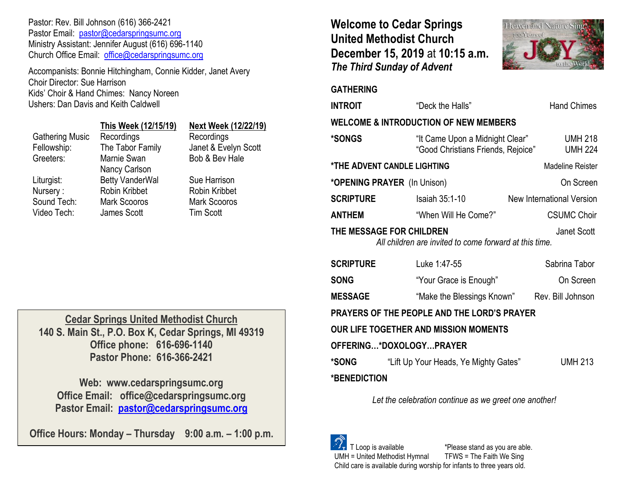Pastor: Rev. Bill Johnson (616) 366-2421 Pastor Email: [pastor@cedarspringsumc.org](mailto:pastor@cedarspringsumc.org) Ministry Assistant: Jennifer August (616) 696-1140 Church Office Email: [office@cedarspringsumc.org](mailto:office@cedarspringsumc.org)

Accompanists: Bonnie Hitchingham, Connie Kidder, Janet Avery Choir Director: Sue Harrison Kids' Choir & Hand Chimes: Nancy Noreen Ushers: Dan Davis and Keith Caldwell

|                        | This Week (12/15/19)   | <b>Next Wee</b>   |
|------------------------|------------------------|-------------------|
| <b>Gathering Music</b> | Recordings             | Recording         |
| Fellowship:            | The Tabor Family       | Janet & Ev        |
| Greeters:              | Marnie Swan            | Bob & Bey         |
|                        | Nancy Carlson          |                   |
| Liturgist:             | <b>Betty VanderWal</b> | <b>Sue Harris</b> |
| Nursery:               | Robin Kribbet          | Robin Krib        |
| Sound Tech:            | <b>Mark Scooros</b>    | Mark Scoo         |
| Video Tech:            | James Scott            | Tim Scott         |

### **This Week (12/15/19) Next Week (12/22/19)**

Recordings ly Janet & Evelyn Scott Bob & Bev Hale

> Sue Harrison Robin Kribbet Mark Scooros

**Cedar Springs United Methodist Church 140 S. Main St., P.O. Box K, Cedar Springs, MI 49319 Office phone: 616-696-1140 Pastor Phone: 616-366-2421**

**Web: www.cedarspringsumc.org Office Email: office@cedarspringsumc.org Pastor Email: [pastor@cedarspringsumc.org](mailto:pastor@cedarspringsumc.org)**

**Office Hours: Monday – Thursday 9:00 a.m. – 1:00 p.m.**

# **Welcome to Cedar Springs United Methodist Church December 15, 2019** at **10:15 a.m.**  *The Third Sunday of Advent*



### **GATHERING**

**\*BENEDICTION** 

| <b>INTROIT</b>                                                                                    | "Deck the Halls"                                                      | <b>Hand Chimes</b>               |  |  |
|---------------------------------------------------------------------------------------------------|-----------------------------------------------------------------------|----------------------------------|--|--|
| <b>WELCOME &amp; INTRODUCTION OF NEW MEMBERS</b>                                                  |                                                                       |                                  |  |  |
| *SONGS                                                                                            | "It Came Upon a Midnight Clear"<br>"Good Christians Friends, Rejoice" | <b>UMH 218</b><br><b>UMH 224</b> |  |  |
| *THE ADVENT CANDLE LIGHTING                                                                       |                                                                       | <b>Madeline Reister</b>          |  |  |
| *OPENING PRAYER (In Unison)                                                                       |                                                                       | On Screen                        |  |  |
| <b>SCRIPTURE</b>                                                                                  | Isaiah 35:1-10                                                        | <b>New International Version</b> |  |  |
| ANTHEM                                                                                            | "When Will He Come?"                                                  | <b>CSUMC Choir</b>               |  |  |
| THE MESSAGE FOR CHILDREN<br>Janet Scott<br>All children are invited to come forward at this time. |                                                                       |                                  |  |  |
| <b>SCRIPTURE</b>                                                                                  | Luke 1:47-55                                                          | Sabrina Tabor                    |  |  |
| <b>SONG</b>                                                                                       | "Your Grace is Enough"                                                | On Screen                        |  |  |
| <b>MESSAGE</b>                                                                                    | "Make the Blessings Known" Rev. Bill Johnson                          |                                  |  |  |
| PRAYERS OF THE PEOPLE AND THE LORD'S PRAYER                                                       |                                                                       |                                  |  |  |
| OUR LIFE TOGETHER AND MISSION MOMENTS                                                             |                                                                       |                                  |  |  |
| OFFERING*DOXOLOGYPRAYER                                                                           |                                                                       |                                  |  |  |
| *SONG                                                                                             | "Lift Up Your Heads, Ye Mighty Gates"                                 | <b>UMH 213</b>                   |  |  |

*Let the celebration continue as we greet one another!*

 $\sqrt[S]{\cdot}$  T Loop is available  $\sqrt[\cdot]{\cdot}$  \*Please stand as you are able.<br>UMH = United Methodist Hymnal TFWS = The Faith We Sing  $UMH = United Method$  Methodist Hymnal Child care is available during worship for infants to three years old.